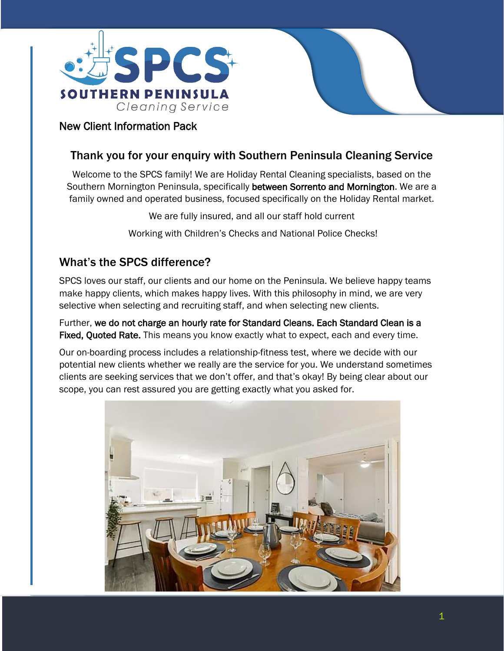



### Thank you for your enquiry with Southern Peninsula Cleaning Service

Welcome to the SPCS family! We are Holiday Rental Cleaning specialists, based on the Southern Mornington Peninsula, specifically between Sorrento and Mornington. We are a family owned and operated business, focused specifically on the Holiday Rental market.

We are fully insured, and all our staff hold current

Working with Children's Checks and National Police Checks!

#### What's the SPCS difference?

SPCS loves our staff, our clients and our home on the Peninsula. We believe happy teams make happy clients, which makes happy lives. With this philosophy in mind, we are very selective when selecting and recruiting staff, and when selecting new clients.

Further, we do not charge an hourly rate for Standard Cleans. Each Standard Clean is a Fixed, Quoted Rate. This means you know exactly what to expect, each and every time.

Our on-boarding process includes a relationship-fitness test, where we decide with our potential new clients whether we really are the service for you. We understand sometimes clients are seeking services that we don't offer, and that's okay! By being clear about our scope, you can rest assured you are getting exactly what you asked for.

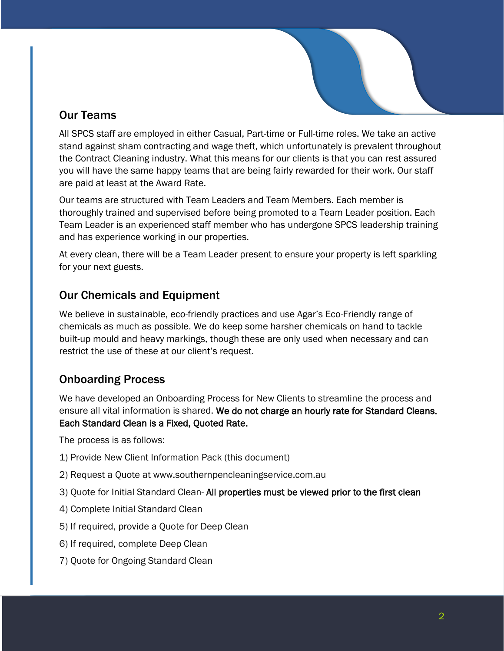# Our Teams

All SPCS staff are employed in either Casual, Part-time or Full-time roles. We take an active stand against sham contracting and wage theft, which unfortunately is prevalent throughout the Contract Cleaning industry. What this means for our clients is that you can rest assured you will have the same happy teams that are being fairly rewarded for their work. Our staff are paid at least at the Award Rate.

Our teams are structured with Team Leaders and Team Members. Each member is thoroughly trained and supervised before being promoted to a Team Leader position. Each Team Leader is an experienced staff member who has undergone SPCS leadership training and has experience working in our properties.

At every clean, there will be a Team Leader present to ensure your property is left sparkling for your next guests.

## Our Chemicals and Equipment

We believe in sustainable, eco-friendly practices and use Agar's Eco-Friendly range of chemicals as much as possible. We do keep some harsher chemicals on hand to tackle built-up mould and heavy markings, though these are only used when necessary and can restrict the use of these at our client's request.

# Onboarding Process

We have developed an Onboarding Process for New Clients to streamline the process and ensure all vital information is shared. We do not charge an hourly rate for Standard Cleans. Each Standard Clean is a Fixed, Quoted Rate.

The process is as follows:

- 1) Provide New Client Information Pack (this document)
- 2) Request a Quote at www.southernpencleaningservice.com.au
- 3) Quote for Initial Standard Clean- All properties must be viewed prior to the first clean
- 4) Complete Initial Standard Clean
- 5) If required, provide a Quote for Deep Clean
- 6) If required, complete Deep Clean
- 7) Quote for Ongoing Standard Clean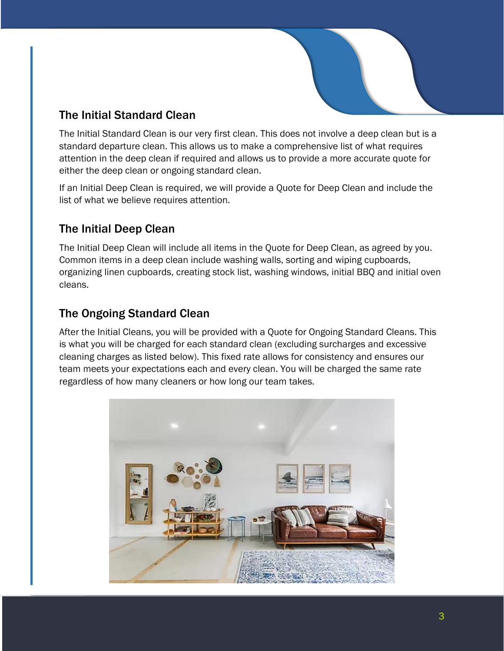

## The Initial Standard Clean

The Initial Standard Clean is our very first clean. This does not involve a deep clean but is a standard departure clean. This allows us to make a comprehensive list of what requires attention in the deep clean if required and allows us to provide a more accurate quote for either the deep clean or ongoing standard clean.

If an Initial Deep Clean is required, we will provide a Quote for Deep Clean and include the list of what we believe requires attention.

## The Initial Deep Clean

The Initial Deep Clean will include all items in the Quote for Deep Clean, as agreed by you. Common items in a deep clean include washing walls, sorting and wiping cupboards, organizing linen cupboards, creating stock list, washing windows, initial BBQ and initial oven cleans.

## The Ongoing Standard Clean

After the Initial Cleans, you will be provided with a Quote for Ongoing Standard Cleans. This is what you will be charged for each standard clean (excluding surcharges and excessive cleaning charges as listed below). This fixed rate allows for consistency and ensures our team meets your expectations each and every clean. You will be charged the same rate regardless of how many cleaners or how long our team takes.

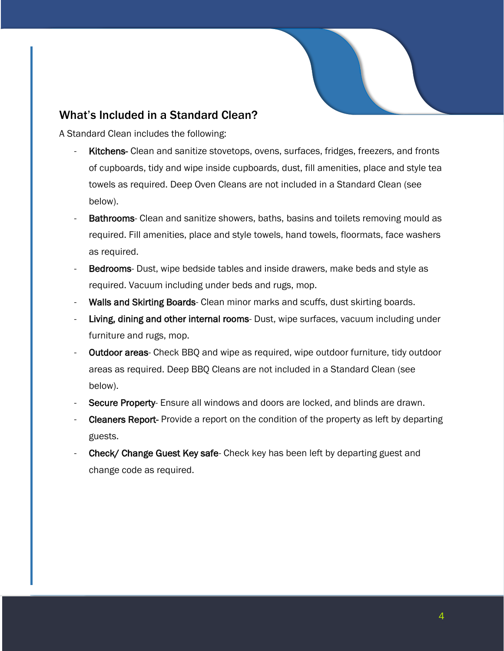#### What's Included in a Standard Clean?

A Standard Clean includes the following:

- Kitchens- Clean and sanitize stovetops, ovens, surfaces, fridges, freezers, and fronts of cupboards, tidy and wipe inside cupboards, dust, fill amenities, place and style tea towels as required. Deep Oven Cleans are not included in a Standard Clean (see below).
- Bathrooms- Clean and sanitize showers, baths, basins and toilets removing mould as required. Fill amenities, place and style towels, hand towels, floormats, face washers as required.
- Bedrooms- Dust, wipe bedside tables and inside drawers, make beds and style as required. Vacuum including under beds and rugs, mop.
- Walls and Skirting Boards- Clean minor marks and scuffs, dust skirting boards.
- Living, dining and other internal rooms- Dust, wipe surfaces, vacuum including under furniture and rugs, mop.
- Outdoor areas- Check BBQ and wipe as required, wipe outdoor furniture, tidy outdoor areas as required. Deep BBQ Cleans are not included in a Standard Clean (see below).
- Secure Property- Ensure all windows and doors are locked, and blinds are drawn.
- Cleaners Report- Provide a report on the condition of the property as left by departing guests.
- Check/ Change Guest Key safe- Check key has been left by departing guest and change code as required.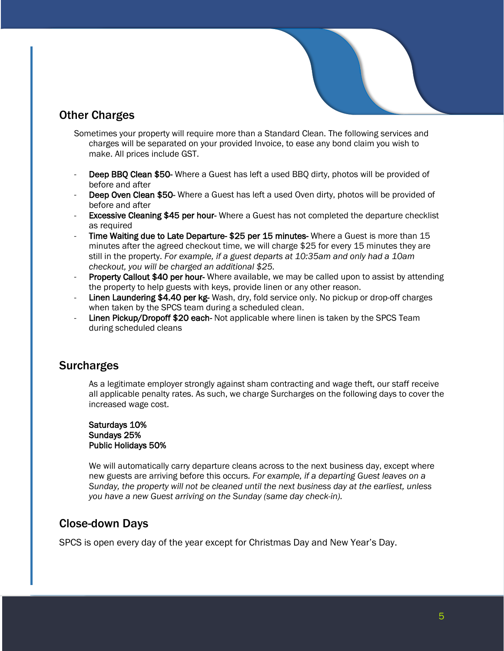

## Other Charges

- Sometimes your property will require more than a Standard Clean. The following services and charges will be separated on your provided Invoice, to ease any bond claim you wish to make. All prices include GST.
- **Deep BBQ Clean \$50-** Where a Guest has left a used BBQ dirty, photos will be provided of before and after
- Deep Oven Clean \$50- Where a Guest has left a used Oven dirty, photos will be provided of before and after
- **Excessive Cleaning \$45 per hour-** Where a Guest has not completed the departure checklist as required
- Time Waiting due to Late Departure- \$25 per 15 minutes- Where a Guest is more than 15 minutes after the agreed checkout time, we will charge \$25 for every 15 minutes they are still in the property. *For example, if a guest departs at 10:35am and only had a 10am checkout, you will be charged an additional \$25.*
- Property Callout \$40 per hour- Where available, we may be called upon to assist by attending the property to help guests with keys, provide linen or any other reason.
- Linen Laundering \$4.40 per kg- Wash, dry, fold service only. No pickup or drop-off charges when taken by the SPCS team during a scheduled clean.
- Linen Pickup/Dropoff \$20 each- Not applicable where linen is taken by the SPCS Team during scheduled cleans

#### **Surcharges**

As a legitimate employer strongly against sham contracting and wage theft, our staff receive all applicable penalty rates. As such, we charge Surcharges on the following days to cover the increased wage cost.

#### Saturdays 10% Sundays 25% Public Holidays 50%

We will automatically carry departure cleans across to the next business day, except where new guests are arriving before this occurs*. For example, if a departing Guest leaves on a Sunday, the property will not be cleaned until the next business day at the earliest, unless you have a new Guest arriving on the Sunday (same day check-in).*

#### Close-down Days

SPCS is open every day of the year except for Christmas Day and New Year's Day.